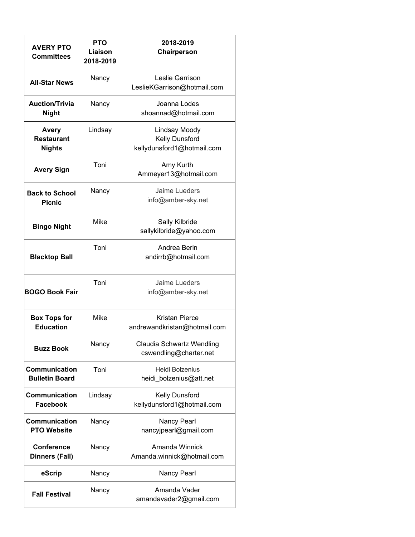| <b>AVERY PTO</b><br><b>Committees</b>              | <b>PTO</b><br>Liaison<br>2018-2019 | 2018-2019<br>Chairperson                                      |
|----------------------------------------------------|------------------------------------|---------------------------------------------------------------|
| <b>All-Star News</b>                               | Nancy                              | Leslie Garrison<br>LeslieKGarrison@hotmail.com                |
| <b>Auction/Trivia</b><br><b>Night</b>              | Nancy                              | Joanna Lodes<br>shoannad@hotmail.com                          |
| <b>Avery</b><br><b>Restaurant</b><br><b>Nights</b> | Lindsay                            | Lindsay Moody<br>Kelly Dunsford<br>kellydunsford1@hotmail.com |
| <b>Avery Sign</b>                                  | Toni                               | Amy Kurth<br>Ammeyer13@hotmail.com                            |
| <b>Back to School</b><br><b>Picnic</b>             | Nancy                              | Jaime Lueders<br>info@amber-sky.net                           |
| <b>Bingo Night</b>                                 | Mike                               | Sally Kilbride<br>sallykilbride@yahoo.com                     |
| <b>Blacktop Ball</b>                               | Toni                               | Andrea Berin<br>andirrb@hotmail.com                           |
| <b>BOGO Book Fair</b>                              | Toni                               | Jaime Lueders<br>info@amber-sky.net                           |
| <b>Box Tops for</b><br><b>Education</b>            | <b>Mike</b>                        | Kristan Pierce<br>andrewandkristan@hotmail.com                |
| <b>Buzz Book</b>                                   | Nancy                              | Claudia Schwartz Wendling<br>cswendling@charter.net           |
| Communication<br><b>Bulletin Board</b>             | Toni                               | Heidi Bolzenius<br>heidi_bolzenius@att.net                    |
| <b>Communication</b><br><b>Facebook</b>            | Lindsay                            | Kelly Dunsford<br>kellydunsford1@hotmail.com                  |
| Communication<br><b>PTO Website</b>                | Nancy                              | Nancy Pearl<br>nancyjpearl@gmail.com                          |
| <b>Conference</b><br><b>Dinners (Fall)</b>         | Nancy                              | Amanda Winnick<br>Amanda.winnick@hotmail.com                  |
| eScrip                                             | Nancy                              | Nancy Pearl                                                   |
| <b>Fall Festival</b>                               | Nancy                              | Amanda Vader<br>amandavader2@gmail.com                        |